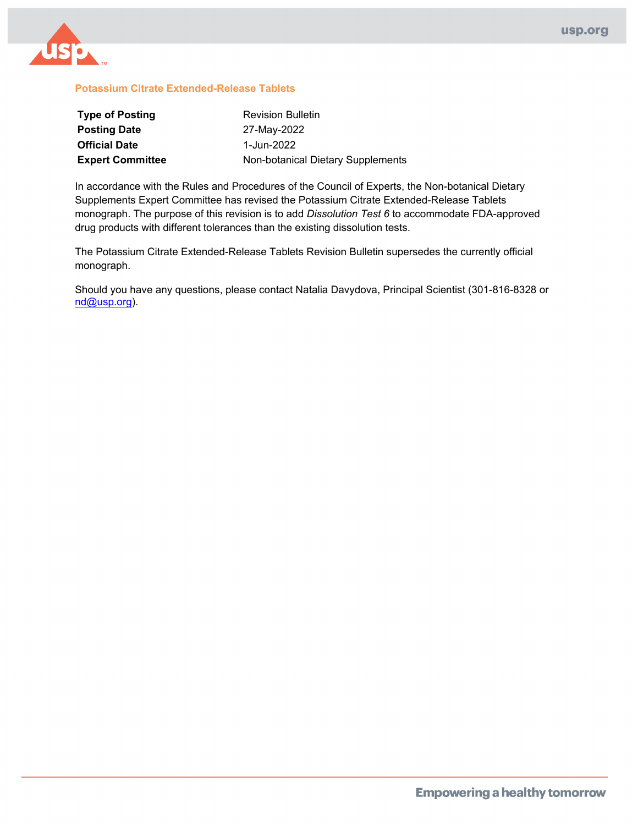

#### **Potassium Citrate Extended-Release Tablets**

| <b>Type of Posting</b>  | <b>Revision Bulletin</b>          |
|-------------------------|-----------------------------------|
| <b>Posting Date</b>     | 27-May-2022                       |
| <b>Official Date</b>    | 1-Jun-2022                        |
| <b>Expert Committee</b> | Non-botanical Dietary Supplements |

In accordance with the Rules and Procedures of the Council of Experts, the Non-botanical Dietary Supplements Expert Committee has revised the Potassium Citrate Extended-Release Tablets monograph. The purpose of this revision is to add *Dissolution Test 6* to accommodate FDA-approved drug products with different tolerances than the existing dissolution tests.

The Potassium Citrate Extended-Release Tablets Revision Bulletin supersedes the currently official monograph.

Should you have any questions, please contact Natalia Davydova, Principal Scientist (301-816-8328 or [nd@usp.org\)](mailto:nd@usp.org).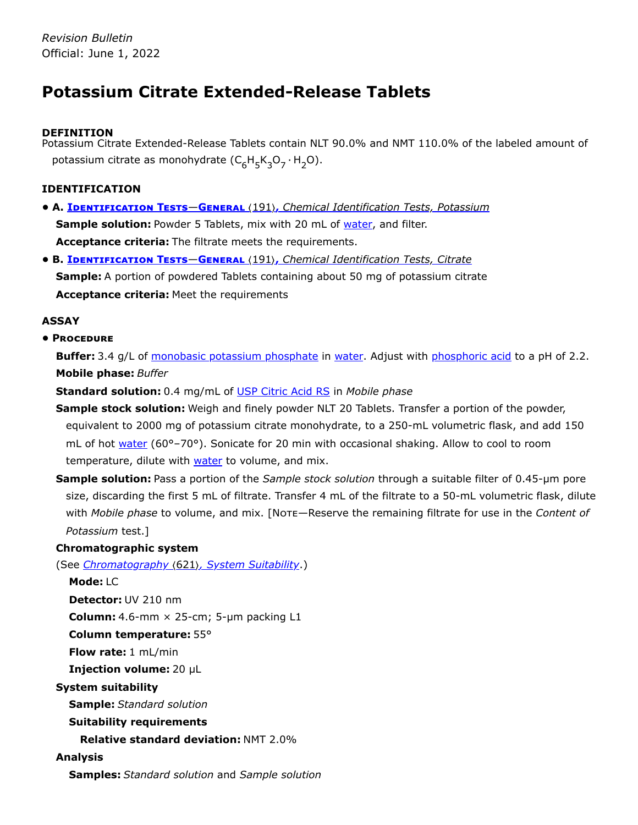# **Potassium Citrate Extended-Release Tablets**

# **DEFINITION**

Potassium Citrate Extended-Release Tablets contain NLT 90.0% and NMT 110.0% of the labeled amount of potassium citrate as monohydrate ( $C_6H_5K_3O_7 \cdot H_2O$ ).

# **IDENTIFICATION**

- **• A. Identification Tests**—**General** 〈191〉**,** *Chemical Identification Tests, Potassium* **Sample solution:** Powder 5 Tablets, mix with 20 mL of water, and filter. **Acceptance criteria:** The filtrate meets the requirements.
- **• B. Identification Tests**—**General** 〈191〉**,** *Chemical Identification Tests, Citrate* **Sample:** A portion of powdered Tablets containing about 50 mg of potassium citrate **Acceptance criteria:** Meet the requirements

# **ASSAY**

**• Procedure**

**Buffer:** 3.4 g/L of monobasic potassium phosphate in water. Adjust with phosphoric acid to a pH of 2.2. **Mobile phase:** *Buffer*

**Standard solution:** 0.4 mg/mL of [USP Citric Acid](https://store.usp.org/searchresults?Ntt=1134368&searchType=simple&type=search) RS in *Mobile phase*

- **Sample stock solution:** Weigh and finely powder NLT 20 Tablets. Transfer a portion of the powder, equivalent to 2000 mg of potassium citrate monohydrate, to a 250-mL volumetric flask, and add 150 mL of hot water (60°–70°). Sonicate for 20 min with occasional shaking. Allow to cool to room temperature, dilute with water to volume, and mix.
- **Sample solution:** Pass a portion of the *Sample stock solution* through a suitable filter of 0.45-µm pore size, discarding the first 5 mL of filtrate. Transfer 4 mL of the filtrate to a 50-mL volumetric flask, dilute with *Mobile phase* to volume, and mix. [Note—Reserve the remaining filtrate for use in the *Content of Potassium* test.]

# **Chromatographic system**

(See *Chromatography* 〈621〉*, System Suitability*.)

**Mode:** LC **Detector:** UV 210 nm **Column:** 4.6-mm × 25-cm; 5-µm packing L1 **Column temperature:** 55° **Flow rate:** 1 mL/min **Injection volume:** 20 µL **System suitability Sample:** *Standard solution* **Suitability requirements Relative standard deviation:** NMT 2.0% **Analysis**

**Samples:** *Standard solution* and *Sample solution*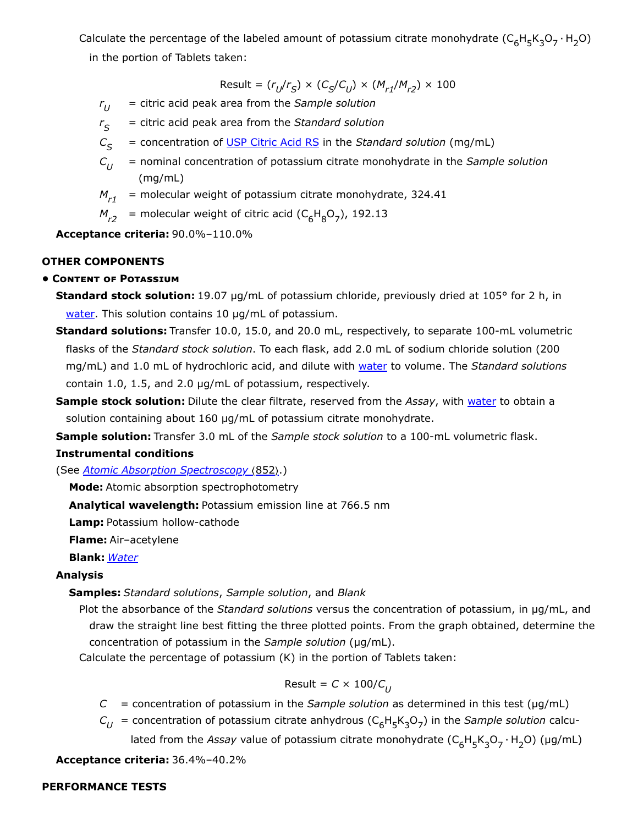Calculate the percentage of the labeled amount of potassium citrate monohydrate  $(\mathsf{C}_6\mathsf{H}_5\mathsf{K}_3\mathsf{O}_7\cdot\mathsf{H}_2\mathsf{O})$ 

in the portion of Tablets taken:

 $Result = (r_U/r_S) \times (C_S/C_U) \times (M_{r1}/M_{r2}) \times 100$ 

- *r* = citric acid peak area from the *Sample solution*  $r_{II}$
- *r* = citric acid peak area from the *Standard solution S*
- $C_{\mathcal{S}}$  = concentration of [USP Citric Acid](https://store.usp.org/searchresults?Ntt=1134368&searchType=simple&type=search) RS in the *Standard solution* (mg/mL)
- *C* = nominal concentration of potassium citrate monohydrate in the *Sample solution* (mg/mL)  $C_{II}$
- = molecular weight of potassium citrate monohydrate, 324.41  $M_{r1}$
- $M_{r2}$  = molecular weight of citric acid ( $C_6H_8O_7$ ), 192.13

**Acceptance criteria:** 90.0%–110.0%

#### **OTHER COMPONENTS**

#### **• Content of Potassium**

- **Standard stock solution:** 19.07 µg/mL of potassium chloride, previously dried at 105° for 2 h, in water. This solution contains 10 µg/mL of potassium.
- **Standard solutions:** Transfer 10.0, 15.0, and 20.0 mL, respectively, to separate 100-mL volumetric flasks of the *Standard stock solution*. To each flask, add 2.0 mL of sodium chloride solution (200 mg/mL) and 1.0 mL of hydrochloric acid, and dilute with water to volume. The *Standard solutions* contain 1.0, 1.5, and 2.0 µg/mL of potassium, respectively.
- **Sample stock solution:** Dilute the clear filtrate, reserved from the *Assay*, with water to obtain a solution containing about 160 µg/mL of potassium citrate monohydrate.
- **Sample solution:** Transfer 3.0 mL of the *Sample stock solution* to a 100-mL volumetric flask.

#### **Instrumental conditions**

(See *Atomic Absorption Spectroscopy* 〈852〉.)

**Mode:** Atomic absorption spectrophotometry

**Analytical wavelength:** Potassium emission line at 766.5 nm

**Lamp:** Potassium hollow-cathode

**Flame:** Air–acetylene

**Blank:** *Water*

# **Analysis**

# **Samples:** *Standard solutions*, *Sample solution*, and *Blank*

Plot the absorbance of the *Standard solutions* versus the concentration of potassium, in µg/mL, and draw the straight line best fitting the three plotted points. From the graph obtained, determine the concentration of potassium in the *Sample solution* (µg/mL).

Calculate the percentage of potassium (K) in the portion of Tablets taken:

# Result = *C* × 100/*C U*

- $C =$  concentration of potassium in the *Sample solution* as determined in this test ( $\mu$ g/mL)
- $C_{U}$  = concentration of potassium citrate anhydrous ( $C_{6}H_{5}K_{3}O_{7}$ ) in the *Sample solution* calcu-

lated from the *Assay* value of potassium citrate monohydrate (C<sub>6</sub>H<sub>5</sub>K<sub>3</sub>O<sub>7</sub> · H<sub>2</sub>O) (µg/mL)

**Acceptance criteria:** 36.4%–40.2%

#### **PERFORMANCE TESTS**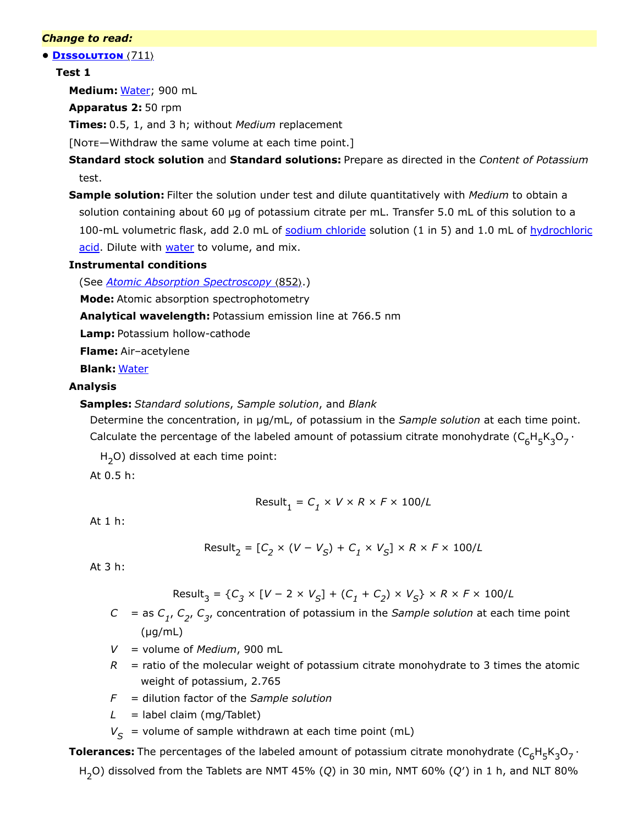#### *Change to read:*

**• Dissolution** 〈711〉

#### **Test 1**

**Medium:** Water; 900 mL

**Apparatus 2:** 50 rpm

**Times:** 0.5, 1, and 3 h; without *Medium* replacement

[Note—Withdraw the same volume at each time point.]

**Standard stock solution** and **Standard solutions:** Prepare as directed in the *Content of Potassium* test.

**Sample solution:** Filter the solution under test and dilute quantitatively with *Medium* to obtain a solution containing about 60 µg of potassium citrate per mL. Transfer 5.0 mL of this solution to a 100-mL volumetric flask, add 2.0 mL of sodium chloride solution (1 in 5) and 1.0 mL of hydrochloric acid. Dilute with water to volume, and mix.

#### **Instrumental conditions**

(See *Atomic Absorption Spectroscopy* 〈852〉.)

**Mode:** Atomic absorption spectrophotometry

**Analytical wavelength:** Potassium emission line at 766.5 nm

**Lamp:** Potassium hollow-cathode

**Flame:** Air–acetylene

**Blank:** Water

# **Analysis**

**Samples:** *Standard solutions*, *Sample solution*, and *Blank*

Determine the concentration, in µg/mL, of potassium in the *Sample solution* at each time point. Calculate the percentage of the labeled amount of potassium citrate monohydrate  $({\sf C}_6{\sf H}_5{\sf K}_3{\sf O}_7\cdot$ 

H<sub>2</sub>O) dissolved at each time point:

At 0.5 h:

$$
Result_1 = C_1 \times V \times R \times F \times 100/L
$$

At 1 h:

$$
Result_2 = [C_2 \times (V - V_S) + C_1 \times V_S] \times R \times F \times 100/L
$$

At 3 h:

 $Result_3 = {C_3 \times [V - 2 \times V_S] + (C_1 + C_2) \times V_S} \times R \times F \times 100/L$ 

- $C =$  as  $C_{1}$ ,  $C_{2}$ ,  $C_{3}$ , concentration of potassium in the *Sample solution* at each time point  $(\mu g/mL)$
- *V* = volume of *Medium*, 900 mL
- $R$  = ratio of the molecular weight of potassium citrate monohydrate to 3 times the atomic weight of potassium, 2.765
- *F* = dilution factor of the *Sample solution*
- $L =$  label claim (mg/Tablet)
- $V_{\mathcal{S}}$  = volume of sample withdrawn at each time point (mL)

**Tolerances:** The percentages of the labeled amount of potassium citrate monohydrate  $(\mathsf{C}_6\mathsf{H}_5\mathsf{K}_3\mathsf{O}_7\cdot$ 

H<sub>2</sub>O) dissolved from the Tablets are NMT 45% (Q) in 30 min, NMT 60% (Q') in 1 h, and NLT 80%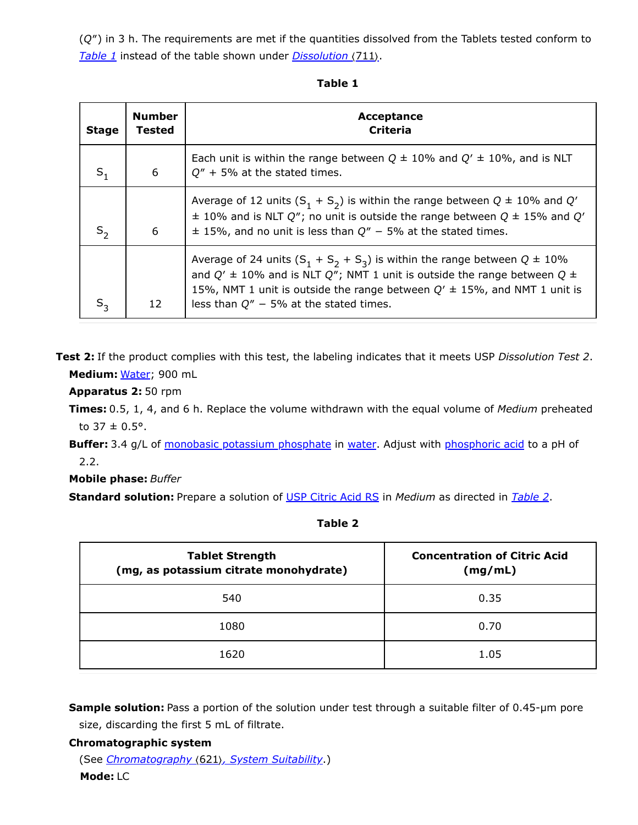(*Q*″) in 3 h. The requirements are met if the quantities dissolved from the Tablets tested conform to *[Table 1](#page-4-0)* instead of the table shown under *Dissolution* 〈711〉.

| . .<br>۰,<br>۰.<br>×<br>v. |  |
|----------------------------|--|
|----------------------------|--|

<span id="page-4-0"></span>

| <b>Stage</b>      | <b>Number</b><br>Tested | Acceptance<br><b>Criteria</b>                                                                                                                                                                                                                                                                           |
|-------------------|-------------------------|---------------------------------------------------------------------------------------------------------------------------------------------------------------------------------------------------------------------------------------------------------------------------------------------------------|
| $S_1$             | 6                       | Each unit is within the range between $Q \pm 10\%$ and $Q' \pm 10\%$ , and is NLT<br>$Q'' + 5\%$ at the stated times.                                                                                                                                                                                   |
| $S_2$             | 6                       | Average of 12 units $(S_1 + S_2)$ is within the range between $Q \pm 10\%$ and Q'<br>$\pm$ 10% and is NLT Q"; no unit is outside the range between Q $\pm$ 15% and Q'<br>$\pm$ 15%, and no unit is less than $Q'' - 5%$ at the stated times.                                                            |
| $S_{\mathcal{R}}$ | 12                      | Average of 24 units $(S_1 + S_2 + S_3)$ is within the range between $Q \pm 10\%$<br>and $Q' \pm 10\%$ and is NLT $Q''$ ; NMT 1 unit is outside the range between $Q \pm$<br>15%, NMT 1 unit is outside the range between $Q' \pm 15$ %, and NMT 1 unit is<br>less than $Q'' - 5\%$ at the stated times. |

**Test 2:** If the product complies with this test, the labeling indicates that it meets USP *Dissolution Test 2*. **Medium:** Water; 900 mL

**Apparatus 2:** 50 rpm

**Times:** 0.5, 1, 4, and 6 h. Replace the volume withdrawn with the equal volume of *Medium* preheated to  $37 \pm 0.5$ °.

**Buffer:** 3.4 g/L of monobasic potassium phosphate in water. Adjust with phosphoric acid to a pH of 2.2.

**Mobile phase:** *Buffer*

**Standard solution:** Prepare a solution of [USP Citric Acid](https://store.usp.org/searchresults?Ntt=1134368&searchType=simple&type=search) RS in *Medium* as directed in *[Table 2](#page-4-1)*.

**Table 2**

<span id="page-4-1"></span>

| <b>Tablet Strength</b><br>(mg, as potassium citrate monohydrate) | <b>Concentration of Citric Acid</b><br>(mg/mL) |
|------------------------------------------------------------------|------------------------------------------------|
| 540                                                              | 0.35                                           |
| 1080                                                             | 0.70                                           |
| 1620                                                             | 1.05                                           |

**Sample solution:** Pass a portion of the solution under test through a suitable filter of 0.45-µm pore size, discarding the first 5 mL of filtrate.

**Chromatographic system** (See *Chromatography* 〈621〉*, System Suitability*.) **Mode:** LC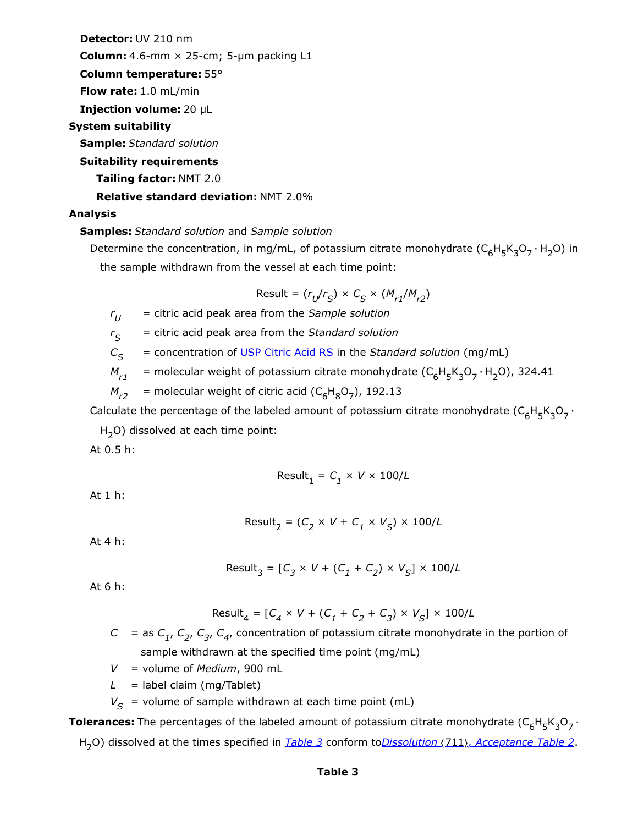**Detector:** UV 210 nm

**Column:** 4.6-mm × 25-cm; 5-µm packing L1

**Column temperature:** 55°

**Flow rate:** 1.0 mL/min

**Injection volume:** 20 µL

# **System suitability**

**Sample:** *Standard solution*

#### **Suitability requirements**

**Tailing factor:** NMT 2.0

# **Relative standard deviation:** NMT 2.0%

# **Analysis**

**Samples:** *Standard solution* and *Sample solution*

Determine the concentration, in mg/mL, of potassium citrate monohydrate  $(\mathsf{C}_6\mathsf{H}_5\mathsf{K}_3\mathsf{O}_7\cdot\mathsf{H}_2\mathsf{O})$  in the sample withdrawn from the vessel at each time point:

$$
\text{Result} = (r_U/r_S) \times C_S \times (M_{r1}/M_{r2})
$$

*r* = citric acid peak area from the *Sample solution*  $r_{II}$ 

 $r_S$  = citric acid peak area from the *Standard solution* 

 $C_{\mathcal{S}}$  = concentration of <u>[USP Citric Acid](https://store.usp.org/searchresults?Ntt=1134368&searchType=simple&type=search) RS</u> in the *Standard solution* (mg/mL)

 $M_{r1}$  = molecular weight of potassium citrate monohydrate ( $C_6H_5K_3O_7 \cdot H_2O$ ), 324.41

 $M_{r2}$  = molecular weight of citric acid ( $C_6H_8O_7$ ), 192.13

Calculate the percentage of the labeled amount of potassium citrate monohydrate  $({\sf C}_6{\sf H}_5{\sf K}_3{\sf O}_7\cdot$ 

H<sub>2</sub>O) dissolved at each time point:

At 0.5 h:

$$
\text{Result}_1 = C_1 \times V \times 100/L
$$

At 1 h:

$$
\text{Result}_2 = (C_2 \times V + C_1 \times V_S) \times 100/L
$$

At 4 h:

$$
\text{Result}_3 = [C_3 \times V + (C_1 + C_2) \times V_S] \times 100/L
$$

At 6 h:

$$
Result_4 = [C_4 \times V + (C_1 + C_2 + C_3) \times V_S] \times 100/L
$$

- $C =$  as  $C_{1}$ ,  $C_{2}$ ,  $C_{3}$ ,  $C_{4}$ , concentration of potassium citrate monohydrate in the portion of sample withdrawn at the specified time point (mg/mL)
- *V* = volume of *Medium*, 900 mL
- $L =$  label claim (mg/Tablet)
- $V_{\mathcal{S}}$  = volume of sample withdrawn at each time point (mL)

<span id="page-5-0"></span>**Tolerances:** The percentages of the labeled amount of potassium citrate monohydrate  $(\mathsf{C}_6\mathsf{H}_5\mathsf{K}_3\mathsf{O}_7\cdot$ H<sub>2</sub>O) dissolved at the times specified in <u>[Table 3](#page-5-0)</u> conform to<u>Dissolution (711), Acceptance Table 2</u>.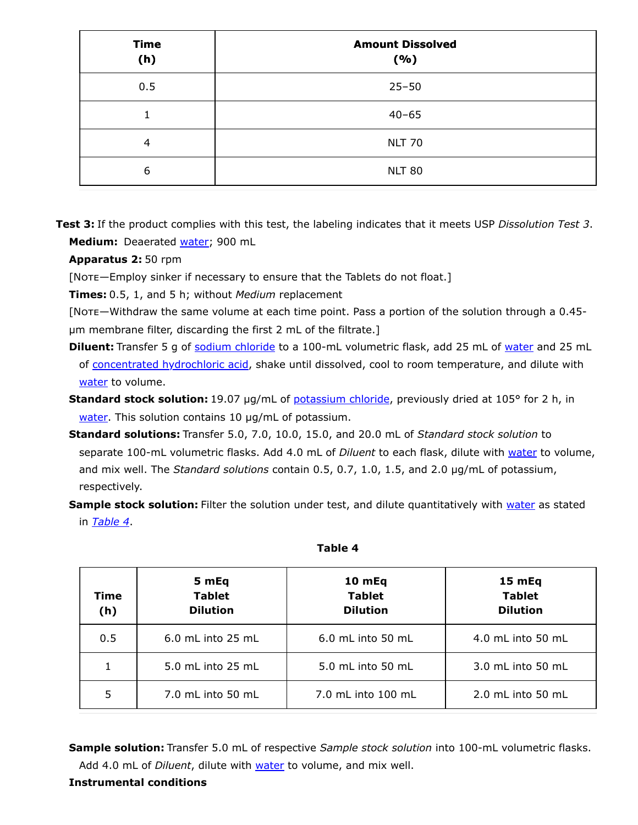| <b>Time</b><br>(h) | <b>Amount Dissolved</b><br>(%) |
|--------------------|--------------------------------|
| 0.5                | $25 - 50$                      |
|                    | $40 - 65$                      |
| 4                  | <b>NLT 70</b>                  |
| 6                  | <b>NLT 80</b>                  |

**Test 3:** If the product complies with this test, the labeling indicates that it meets USP *Dissolution Test 3*. **Medium:** Deaerated water; 900 mL

**Apparatus 2:** 50 rpm

[Note—Employ sinker if necessary to ensure that the Tablets do not float.]

**Times:** 0.5, 1, and 5 h; without *Medium* replacement

[Note—Withdraw the same volume at each time point. Pass a portion of the solution through a 0.45 µm membrane filter, discarding the first 2 mL of the filtrate.]

- **Diluent:** Transfer 5 g of sodium chloride to a 100-mL volumetric flask, add 25 mL of water and 25 mL of concentrated hydrochloric acid, shake until dissolved, cool to room temperature, and dilute with water to volume.
- **Standard stock solution:** 19.07 µg/mL of potassium chloride, previously dried at 105° for 2 h, in water. This solution contains 10 µg/mL of potassium.
- **Standard solutions:** Transfer 5.0, 7.0, 10.0, 15.0, and 20.0 mL of *Standard stock solution* to separate 100-mL volumetric flasks. Add 4.0 mL of *Diluent* to each flask, dilute with water to volume, and mix well. The *Standard solutions* contain 0.5, 0.7, 1.0, 1.5, and 2.0 µg/mL of potassium, respectively.
- **Sample stock solution:** Filter the solution under test, and dilute quantitatively with water as stated in *[Table 4](#page-6-0)*.

<span id="page-6-0"></span>

| Time<br>(h) | 5 mEq<br><b>Tablet</b><br><b>Dilution</b> | 10 mEq<br><b>Tablet</b><br><b>Dilution</b> | 15 mEq<br><b>Tablet</b><br><b>Dilution</b> |
|-------------|-------------------------------------------|--------------------------------------------|--------------------------------------------|
| 0.5         | $6.0$ mL into 25 mL                       | $6.0$ mL into 50 mL                        | 4.0 mL into 50 mL                          |
|             | 5.0 mL into 25 mL                         | 5.0 mL into 50 mL                          | 3.0 mL into 50 mL                          |
| 5           | 7.0 mL into 50 mL                         | 7.0 mL into 100 mL                         | $2.0$ mL into 50 mL                        |

#### **Table 4**

**Sample solution:** Transfer 5.0 mL of respective *Sample stock solution* into 100-mL volumetric flasks. Add 4.0 mL of *Diluent*, dilute with **water** to volume, and mix well.

# **Instrumental conditions**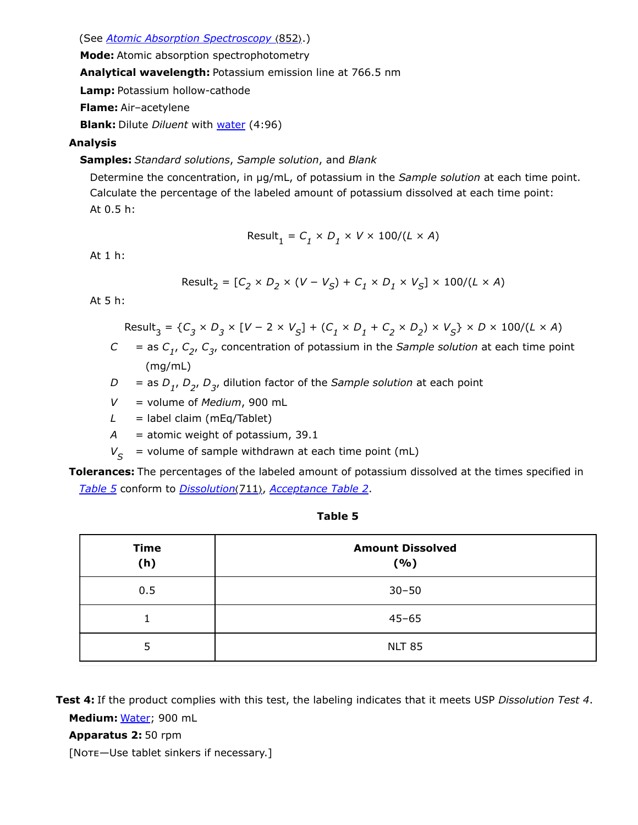(See *Atomic Absorption Spectroscopy (852).*)

**Mode:** Atomic absorption spectrophotometry

**Analytical wavelength:** Potassium emission line at 766.5 nm

**Lamp:** Potassium hollow-cathode

**Flame:** Air–acetylene

**Blank:** Dilute *Diluent* with water (4:96)

# **Analysis**

**Samples:** *Standard solutions*, *Sample solution*, and *Blank*

Determine the concentration, in µg/mL, of potassium in the *Sample solution* at each time point. Calculate the percentage of the labeled amount of potassium dissolved at each time point: At 0.5 h:

$$
Result_1 = C_1 \times D_1 \times V \times 100 / (L \times A)
$$

At 1 h:

$$
\text{Result}_2 = [C_2 \times D_2 \times (V - V_S) + C_1 \times D_1 \times V_S] \times 100 / (L \times A)
$$

At 5 h:

Result<sub>3</sub> = { $C_3 \times D_3 \times [V - 2 \times V_S] + (C_1 \times D_1 + C_2 \times D_2) \times V_S$ } × D × 100/(L × A)  $C =$  as  $C_1$ ,  $C_2$ ,  $C_3$ , concentration of potassium in the *Sample solution* at each time point

- (mg/mL)
- *D* = as  $D_{1}$ ,  $D_{2}$ ,  $D_{3}$ , dilution factor of the *Sample solution* at each point
- *V* = volume of *Medium*, 900 mL
- $L =$  label claim (mEq/Tablet)
- *A* = atomic weight of potassium, 39.1
- $V_{\mathcal{S}}$  = volume of sample withdrawn at each time point (mL)

**Tolerances:** The percentages of the labeled amount of potassium dissolved at the times specified in *[Table 5](#page-7-0)* conform to *Dissolution*〈711〉, *Acceptance Table 2*.

| v<br>۰.<br>×<br>. .<br>v. | ۰. |
|---------------------------|----|
|---------------------------|----|

<span id="page-7-0"></span>

| <b>Time</b><br>(h) | <b>Amount Dissolved</b><br>(%) |
|--------------------|--------------------------------|
| 0.5                | $30 - 50$                      |
|                    | $45 - 65$                      |
| 5                  | <b>NLT 85</b>                  |

**Test 4:** If the product complies with this test, the labeling indicates that it meets USP *Dissolution Test 4*. **Medium:** Water; 900 mL

**Apparatus 2:** 50 rpm

[Note-Use tablet sinkers if necessary.]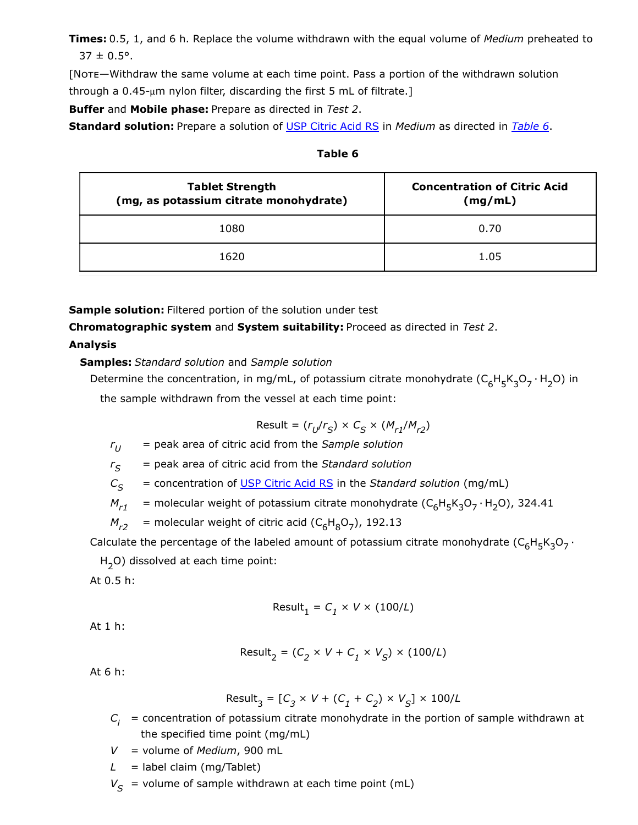**Times:** 0.5, 1, and 6 h. Replace the volume withdrawn with the equal volume of *Medium* preheated to  $37 \pm 0.5^{\circ}$ .

[Note—Withdraw the same volume at each time point. Pass a portion of the withdrawn solution through a  $0.45$ -µm nylon filter, discarding the first 5 mL of filtrate.]

**Buffer** and **Mobile phase:** Prepare as directed in *Test 2*.

<span id="page-8-0"></span>**Standard solution:** Prepare a solution of [USP Citric Acid](https://store.usp.org/searchresults?Ntt=1134368&searchType=simple&type=search) RS in *Medium* as directed in *[Table 6](#page-8-0)*.

| <b>Tablet Strength</b><br>(mg, as potassium citrate monohydrate) | <b>Concentration of Citric Acid</b><br>(mg/mL) |
|------------------------------------------------------------------|------------------------------------------------|
| 1080                                                             | 0.70                                           |
| 1620                                                             | 1.05                                           |

**Sample solution:** Filtered portion of the solution under test

**Chromatographic system** and **System suitability:** Proceed as directed in *Test 2*.

**Analysis**

**Samples:** *Standard solution* and *Sample solution*

Determine the concentration, in mg/mL, of potassium citrate monohydrate  $(\mathsf{C}_6\mathsf{H}_5\mathsf{K}_3\mathsf{O}_7\cdot\mathsf{H}_2\mathsf{O})$  in the sample withdrawn from the vessel at each time point:

$$
Result = (r_U/r_S) \times C_S \times (M_{r1}/M_{r2})
$$

*r* = peak area of citric acid from the *Sample solution*  $r_U$ 

 $r_S$  = peak area of citric acid from the *Standard solution* 

*C* = concentration of [USP Citric Acid](https://store.usp.org/searchresults?Ntt=1134368&searchType=simple&type=search) RS in the *Standard solution* (mg/mL)  $C_{\varsigma}$ 

 $M_{r1}$  = molecular weight of potassium citrate monohydrate (C<sub>6</sub>H<sub>5</sub>K<sub>3</sub>O<sub>7</sub> · H<sub>2</sub>O), 324.41

 $M_{r2}$  = molecular weight of citric acid (C<sub>6</sub>H<sub>8</sub>O<sub>7</sub>), 192.13

Calculate the percentage of the labeled amount of potassium citrate monohydrate  $(\mathsf{C}_6\mathsf{H}_5\mathsf{K}_3\mathsf{O}_7\cdot$ 

H<sub>2</sub>O) dissolved at each time point:

At 0.5 h:

$$
\text{Result}_1 = C_1 \times V \times (100/L)
$$

At 1 h:

$$
\text{Result}_2 = (C_2 \times V + C_1 \times V_S) \times (100/L)
$$

At 6 h:

$$
\text{Result}_3 = [C_3 \times V + (C_1 + C_2) \times V_S] \times 100/L
$$

 $C_{\vec{i}}$  = concentration of potassium citrate monohydrate in the portion of sample withdrawn at the specified time point (mg/mL)

*V* = volume of *Medium*, 900 mL

*L* = label claim (mg/Tablet)

 $V_{\mathcal{S}}$  = volume of sample withdrawn at each time point (mL)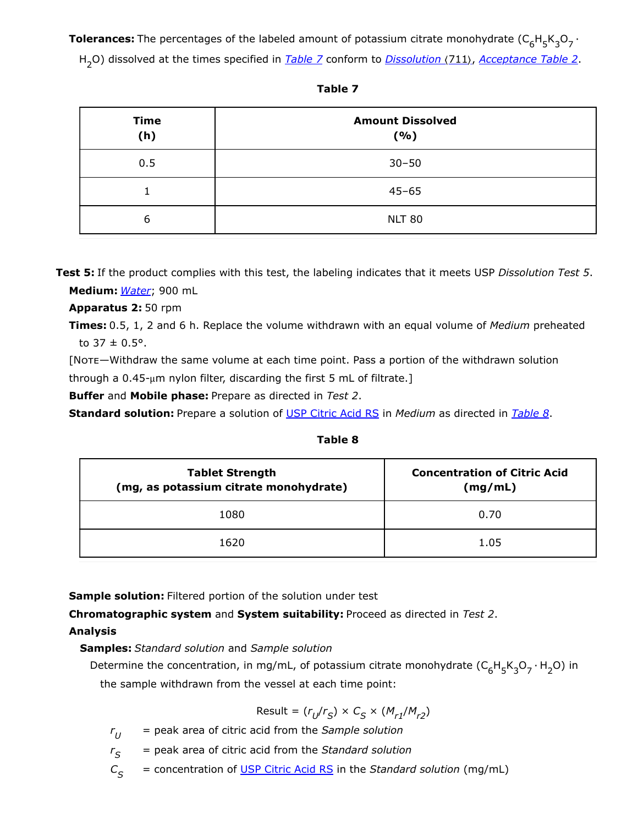**Tolerances:** The percentages of the labeled amount of potassium citrate monohydrate  $(\mathsf{C}_6\mathsf{H}_5\mathsf{K}_3\mathsf{O}_7\cdot$ 

H<sub>2</sub>O) dissolved at the times specified in *[Table 7](#page-9-0)* conform to *Dissolution* (711), *Acceptance Table 2*.

<span id="page-9-0"></span>

| <b>Time</b><br>(h) | <b>Amount Dissolved</b><br>( %) |
|--------------------|---------------------------------|
| 0.5                | $30 - 50$                       |
|                    | $45 - 65$                       |
| 6                  | <b>NLT 80</b>                   |

| v<br>۰.<br>M.<br>v. |  |
|---------------------|--|
|---------------------|--|

**Test 5:** If the product complies with this test, the labeling indicates that it meets USP *Dissolution Test 5*. **Medium:** *Water*; 900 mL

**Apparatus 2:** 50 rpm

**Times:** 0.5, 1, 2 and 6 h. Replace the volume withdrawn with an equal volume of *Medium* preheated to  $37 \pm 0.5^{\circ}$ .

[Note—Withdraw the same volume at each time point. Pass a portion of the withdrawn solution through a 0.45-μm nylon filter, discarding the first 5 mL of filtrate.]

**Buffer** and **Mobile phase:** Prepare as directed in *Test 2*.

<span id="page-9-1"></span>**Standard solution:** Prepare a solution of [USP Citric Acid](https://store.usp.org/searchresults?Ntt=1134368&searchType=simple&type=search) RS in *Medium* as directed in *[Table 8](#page-9-1)*.

**Table 8**

| <b>Tablet Strength</b><br>(mg, as potassium citrate monohydrate) | <b>Concentration of Citric Acid</b><br>(mg/mL) |  |  |
|------------------------------------------------------------------|------------------------------------------------|--|--|
| 1080                                                             | 0.70                                           |  |  |
| 1620                                                             | 1.05                                           |  |  |

**Sample solution:** Filtered portion of the solution under test

**Chromatographic system** and **System suitability:** Proceed as directed in *Test 2*.

# **Analysis**

**Samples:** *Standard solution* and *Sample solution*

Determine the concentration, in mg/mL, of potassium citrate monohydrate  $(\mathsf{C}_6\mathsf{H}_5\mathsf{K}_3\mathsf{O}_7\cdot\mathsf{H}_2\mathsf{O})$  in the sample withdrawn from the vessel at each time point:

$$
\text{Result} = (r_U/r_S) \times C_S \times (M_{r1}/M_{r2})
$$

*r* = peak area of citric acid from the *Sample solution*  $r_{U}$ 

*r* = peak area of citric acid from the *Standard solution*  $r_{\rm S}$ 

*C* = concentration of [USP Citric Acid](https://store.usp.org/searchresults?Ntt=1134368&searchType=simple&type=search) RS in the *Standard solution* (mg/mL)  $C_{\rm c}$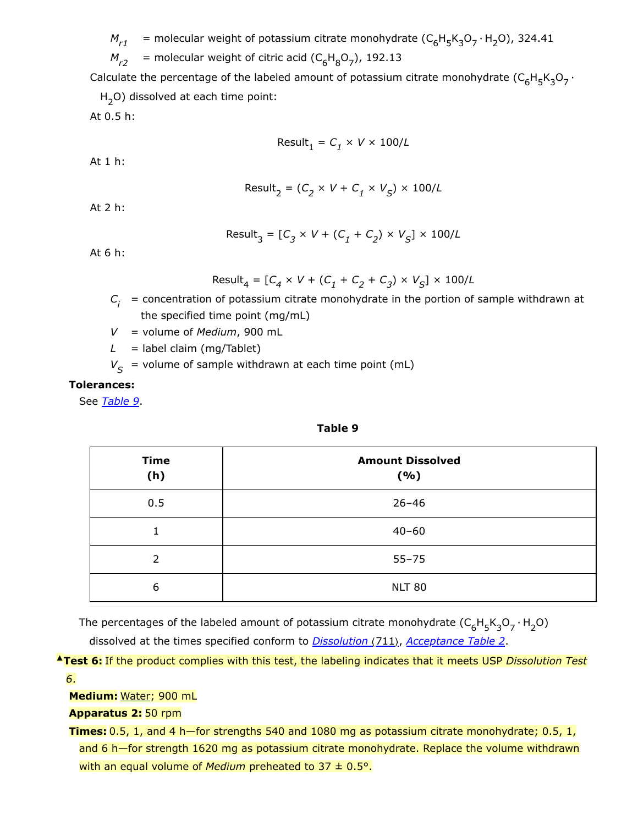$M_{r1}$  = molecular weight of potassium citrate monohydrate ( $C_6H_5K_3O_7 \cdot H_2O$ ), 324.41

 $M_{r2}$  = molecular weight of citric acid ( $C_6H_8O_7$ ), 192.13

Calculate the percentage of the labeled amount of potassium citrate monohydrate  $({\sf C}_6{\sf H}_5{\sf K}_3{\sf O}_7\cdot$ 

H<sub>2</sub>O) dissolved at each time point:

At 0.5 h:

$$
\text{Result}_1 = C_1 \times V \times 100/L
$$

At 1 h:

$$
Result_2 = (C_2 \times V + C_1 \times V_S) \times 100/L
$$

At 2 h:

$$
\text{Result}_3 = [C_3 \times V + (C_1 + C_2) \times V_S] \times 100/L
$$

At 6 h:

Result<sub>4</sub> = 
$$
[C_4 \times V + (C_1 + C_2 + C_3) \times V_S] \times 100/L
$$

 $C_{\vec{i}}$  = concentration of potassium citrate monohydrate in the portion of sample withdrawn at the specified time point (mg/mL)

*V* = volume of *Medium*, 900 mL

 $L =$  label claim (mg/Tablet)

 $V_{\mathcal{S}}$  = volume of sample withdrawn at each time point (mL)

#### **Tolerances:**

<span id="page-10-0"></span>See *[Table 9](#page-10-0)*.

#### **Table 9**

| <b>Time</b><br>(h) | <b>Amount Dissolved</b><br>(%) |
|--------------------|--------------------------------|
| 0.5                | $26 - 46$                      |
| 1                  | $40 - 60$                      |
| $\mathcal{P}$      | $55 - 75$                      |
| 6                  | <b>NLT 80</b>                  |

The percentages of the labeled amount of potassium citrate monohydrate  $(\mathsf{C}_6\mathsf{H}_5\mathsf{K}_3\mathsf{O}_7\cdot\mathsf{H}_2\mathsf{O})$ 

dissolved at the times specified conform to *Dissolution (711), Acceptance Table 2*.

**▲Test 6:** If the product complies with this test, the labeling indicates that it meets USP *Dissolution Test 6*.

**Medium:** Water; 900 mL

**Apparatus 2:** 50 rpm

**Times:** 0.5, 1, and 4 h—for strengths 540 and 1080 mg as potassium citrate monohydrate; 0.5, 1, and 6 h—for strength 1620 mg as potassium citrate monohydrate. Replace the volume withdrawn with an equal volume of *Medium* preheated to 37 ± 0.5°.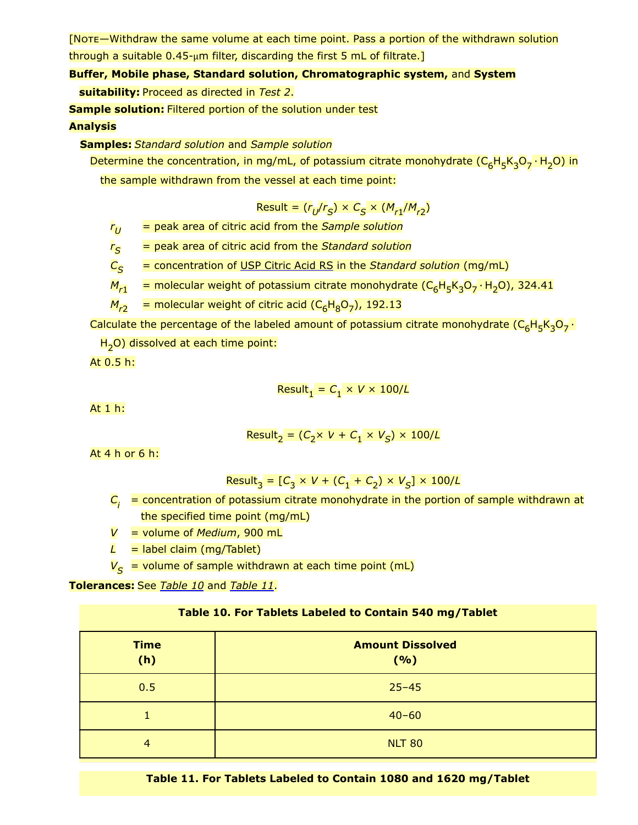[Note—Withdraw the same volume at each time point. Pass a portion of the withdrawn solution through a suitable 0.45-μm filter, discarding the first 5 mL of filtrate.]

# **Buffer, Mobile phase, Standard solution, Chromatographic system,** and **System**

**suitability:** Proceed as directed in *Test 2*.

**Sample solution:** Filtered portion of the solution under test

# **Analysis**

**Samples:** *Standard solution* and *Sample solution*

Determine the concentration, in mg/mL, of potassium citrate monohydrate (C<sub>6</sub>H<sub>5</sub>K<sub>3</sub>O<sub>7</sub> · H<sub>2</sub>O) in the sample withdrawn from the vessel at each time point:

$$
Result = (r_{U}/r_{S}) \times C_{S} \times (M_{r1}/M_{r2})
$$

*r* = peak area of citric acid from the *Sample solution*  $r_U$ 

*r* = peak area of citric acid from the *Standard solution*  $r_S$ 

*C* = concentration of [USP Citric Acid](https://store.usp.org/searchresults?Ntt=1134368&searchType=simple&type=search) RS in the *Standard solution* (mg/mL)  $C_{\mathcal{S}}$ 

 $M_{r1}$  = molecular weight of potassium citrate monohydrate (C<sub>6</sub>H<sub>5</sub>K<sub>3</sub>O<sub>7</sub> · H<sub>2</sub>O), 324.41

*M<sub>r2</sub>* = molecular weight of citric acid (C<sub>6</sub>H<sub>8</sub>O<sub>7</sub>), 192.13

Calculate the percentage of the labeled amount of potassium citrate monohydrate (C<sub>6</sub>H<sub>5</sub>K<sub>3</sub>O<sub>7</sub> ·

H<sub>2</sub>O) dissolved at each time point:

At 0.5 h:

$$
Result_1 = C_1 \times V \times 100/L
$$

At 1 h:

$$
Result_2 = (C_2 \times V + C_1 \times V_S) \times 100/L
$$

At 4 h or 6 h:

$$
Result_3 = [C_3 \times V + (C_1 + C_2) \times V_S] \times 100/L
$$

*C* = concentration of potassium citrate monohydrate in the portion of sample withdrawn at *i* the specified time point (mg/mL)

*V* = volume of *Medium*, 900 mL

 $L =$  label claim (mg/Tablet)

*V* = volume of sample withdrawn at each time point (mL) *S*

<span id="page-11-0"></span>**Tolerances:** See *[Table 10](#page-11-0)* and *[Table](#page-11-0) 11*.

| Table 10. For Tablets Labeled to Contain 540 mg/Tablet |  |  |  |  |  |
|--------------------------------------------------------|--|--|--|--|--|
|--------------------------------------------------------|--|--|--|--|--|

| <b>Time</b><br>(h) | <b>Amount Dissolved</b><br>(9/6) |
|--------------------|----------------------------------|
| 0.5                | $25 - 45$                        |
|                    | $40 - 60$                        |
| $\overline{4}$     | <b>NLT 80</b>                    |

**Table 11. For Tablets Labeled to Contain 1080 and 1620 mg/Tablet**